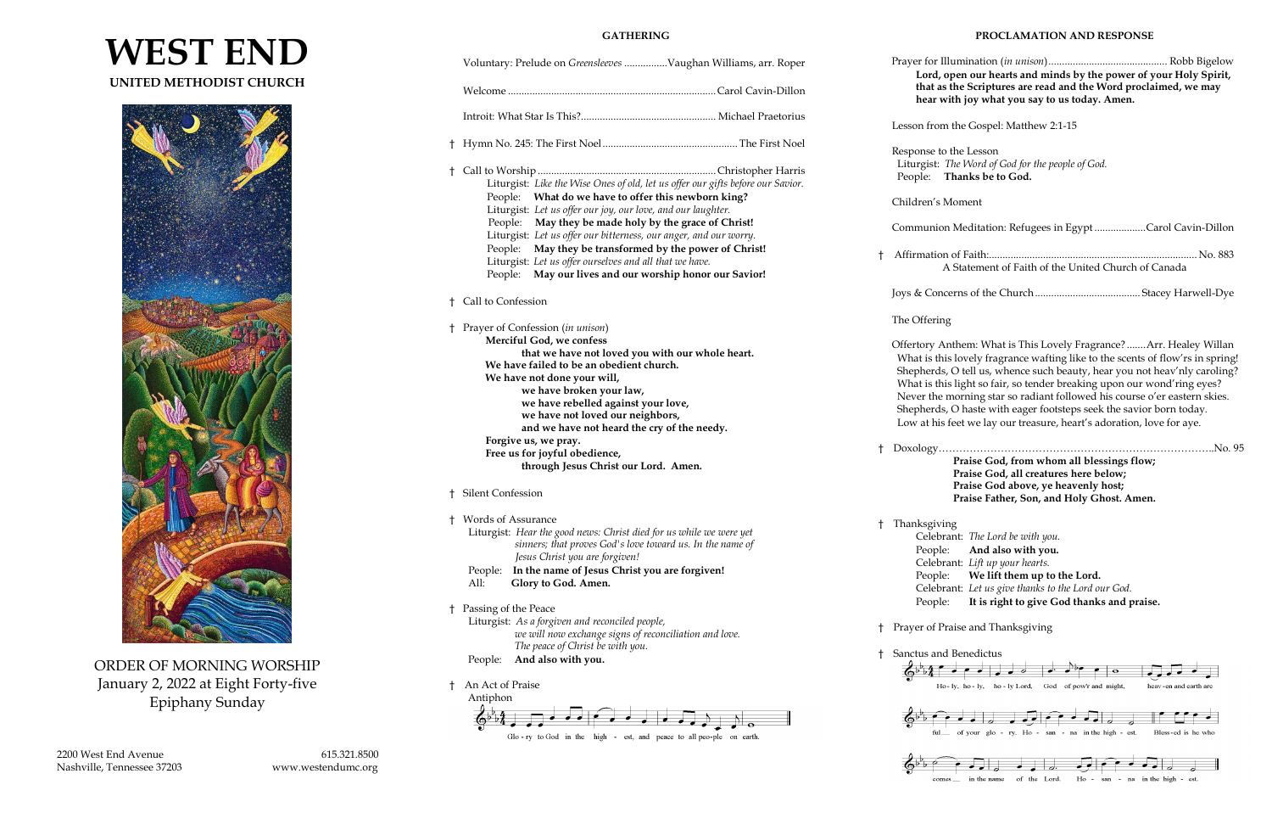



ORDER OF MORNING WORSHIP January 2, 2022 at Eight Forty-five Epiphany Sunday

2200 West End Avenue 615.321.8500 Nashville, Tennessee 37203 www.westendumc.org

#### **GATHERING**

 Prayer for Illumination (*in unison*)............................................ Robb Bigelow **Lord, open our hearts and minds by the power of your Holy Spirit,** as the Scriptures are read and the Word proclaimed, we may with joy what you say to us today. Amen.

om the Gospel: Matthew 2:1-15

to the Lesson It: *The Word of God for the people of God.* **Thanks be to God.** 

s Moment

|    | Voluntary: Prelude on Greensleeves Vaughan Williams, arr. Roper                 |  | Prayer for<br>Lord |              |
|----|---------------------------------------------------------------------------------|--|--------------------|--------------|
|    |                                                                                 |  |                    | that<br>hear |
|    |                                                                                 |  |                    | Lesson fro   |
|    |                                                                                 |  |                    | Response     |
|    |                                                                                 |  |                    | Liturgist    |
| t  | Liturgist: Like the Wise Ones of old, let us offer our gifts before our Savior. |  |                    | People:      |
|    | What do we have to offer this newborn king?<br>People:                          |  |                    |              |
|    | Liturgist: Let us offer our joy, our love, and our laughter.                    |  |                    | Children's   |
|    | May they be made holy by the grace of Christ!<br>People:                        |  |                    |              |
|    | Liturgist: Let us offer our bitterness, our anger, and our worry.               |  |                    | Communi      |
|    | May they be transformed by the power of Christ!<br>People:                      |  |                    |              |
|    | Liturgist: Let us offer ourselves and all that we have.                         |  | t                  | Affirmati    |
|    | May our lives and our worship honor our Savior!<br>People:                      |  |                    |              |
|    |                                                                                 |  |                    | Joys & Co    |
|    | <sup>†</sup> Call to Confession                                                 |  |                    |              |
|    |                                                                                 |  |                    | The Offer    |
|    | † Prayer of Confession (in unison)                                              |  |                    |              |
|    | Merciful God, we confess                                                        |  |                    | Offertory    |
|    | that we have not loved you with our whole heart.                                |  |                    | What is t    |
|    | We have failed to be an obedient church.                                        |  |                    | Shepher      |
|    | We have not done your will,                                                     |  |                    | What is t    |
|    | we have broken your law,                                                        |  |                    | Never th     |
|    | we have rebelled against your love,                                             |  |                    | Shepher      |
|    | we have not loved our neighbors,                                                |  |                    | Low at h     |
|    | and we have not heard the cry of the needy.                                     |  |                    |              |
|    | Forgive us, we pray.                                                            |  |                    |              |
|    | Free us for joyful obedience,                                                   |  | Ť.                 | Doxology     |
|    | through Jesus Christ our Lord. Amen.                                            |  |                    |              |
|    | † Silent Confession                                                             |  |                    |              |
|    | † Words of Assurance                                                            |  |                    | † Thanksgi   |
|    | Liturgist: Hear the good news: Christ died for us while we were yet             |  |                    | Cele         |
|    | sinners; that proves God's love toward us. In the name of                       |  |                    | Peop         |
|    | Jesus Christ you are forgiven!                                                  |  |                    | Cele         |
|    | In the name of Jesus Christ you are forgiven!<br>People:                        |  |                    | Peop         |
|    | All:<br>Glory to God. Amen.                                                     |  |                    | Cele         |
|    |                                                                                 |  |                    | Peop         |
| t. | Passing of the Peace                                                            |  |                    |              |
|    | Liturgist: As a forgiven and reconciled people,                                 |  | Ť.                 | Prayer of    |
|    | we will now exchange signs of reconciliation and love.                          |  |                    |              |
|    | The peace of Christ be with you.                                                |  | Ť                  | Sanctus a    |
|    | And also with you.<br>People:                                                   |  |                    |              |
|    |                                                                                 |  |                    |              |
| Ⴕ  | An Act of Praise                                                                |  |                    |              |
|    | Antiphon                                                                        |  |                    |              |



ion Meditation: Refugees in Egypt...................Carol Cavin-Dillon † Affirmation of Faith:............................................................................. No. 883 A Statement of Faith of the United Church of Canada

 $\frac{1}{20}$ .  $\frac{1}{20}$ . 95 **Praise God, from whom all blessings flow; Praise God, all creatures here below; Praise God above, ye heavenly host; Praise Father, Son, and Holy Ghost. Amen.**

iving

Celebrant: *The Lord be with you.* ple: **And also with you.** *chant: Lift up your hearts.* ple: We lift them up to the Lord. **chant:** Let us give thanks to the Lord our God. ple: It is right to give God thanks and praise.

Praise and Thanksgiving

#### **PROCLAMATION AND RESPONSE**

Joys & Concerns of the Church....................................... Stacey Harwell-Dye

#### ing

Anthem: What is This Lovely Fragrance? .......Arr. Healey Willan this lovely fragrance wafting like to the scents of flow'rs in spring! ds, O tell us, whence such beauty, hear you not heav'nly caroling? this light so fair, so tender breaking upon our wond'ring eyes? ne morning star so radiant followed his course o'er eastern skies. ds, O haste with eager footsteps seek the savior born today. his feet we lay our treasure, heart's adoration, love for aye.